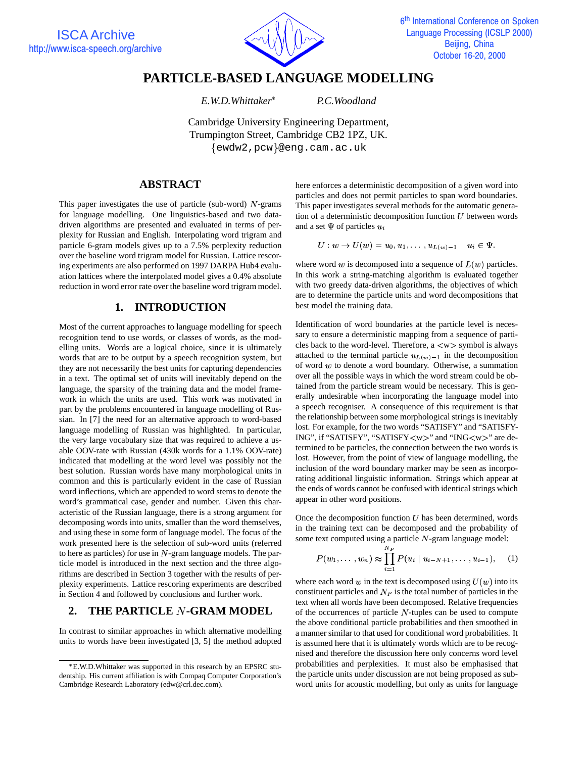

# **PARTICLE-BASED LANGUAGE MODELLING**

*E.W.D.Whittaker*

*P.C.Woodland*

Cambridge University Engineering Department, Trumpington Street, Cambridge CB2 1PZ, UK.  $\{$ ewdw2,pcw $\}$ @eng.cam.ac.uk

# **ABSTRACT**

This paper investigates the use of particle (sub-word)  $N$ -grams for language modelling. One linguistics-based and two datadriven algorithms are presented and evaluated in terms of perplexity for Russian and English. Interpolating word trigram and particle 6-gram models gives up to a 7.5% perplexity reduction over the baseline word trigram model for Russian. Lattice rescoring experiments are also performed on 1997 DARPA Hub4 evaluation lattices where the interpolated model gives a 0.4% absolute reduction in word error rate over the baseline word trigram model.

## **1. INTRODUCTION**

Most of the current approaches to language modelling for speech recognition tend to use words, or classes of words, as the modelling units. Words are a logical choice, since it is ultimately words that are to be output by a speech recognition system, but they are not necessarily the best units for capturing dependencies in a text. The optimal set of units will inevitably depend on the language, the sparsity of the training data and the model framework in which the units are used. This work was motivated in part by the problems encountered in language modelling of Russian. In [7] the need for an alternative approach to word-based language modelling of Russian was highlighted. In particular, the very large vocabulary size that was required to achieve a usable OOV-rate with Russian (430k words for a 1.1% OOV-rate) indicated that modelling at the word level was possibly not the best solution. Russian words have many morphological units in common and this is particularly evident in the case of Russian word inflections, which are appended to word stems to denote the word's grammatical case, gender and number. Given this characteristic of the Russian language, there is a strong argument for decomposing words into units, smaller than the word themselves, and using these in some form of language model. The focus of the work presented here is the selection of sub-word units (referred to here as particles) for use in  $N$ -gram language models. The particle model is introduced in the next section and the three algorithms are described in Section 3 together with the results of perplexity experiments. Lattice rescoring experiments are described in Section 4 and followed by conclusions and further work.

# **2. THE PARTICLE -GRAM MODEL**

In contrast to similar approaches in which alternative modelling units to words have been investigated [3, 5] the method adopted here enforces a deterministic decomposition of a given word into particles and does not permit particles to span word boundaries. This paper investigates several methods for the automatic generation of a deterministic decomposition function  $U$  between words and a set  $\Psi$  of particles  $u_i$ 

$$
U: w \rightarrow U(w)=u_0, u_1, \ldots, u_{L(w)-1} \quad u_i \in \Psi.
$$

where word  $w$  is decomposed into a sequence of  $L(w)$  particles. In this work a string-matching algorithm is evaluated together with two greedy data-driven algorithms, the objectives of which are to determine the particle units and word decompositions that best model the training data.

Identification of word boundaries at the particle level is necessary to ensure a deterministic mapping from a sequence of particles back to the word-level. Therefore,  $a \langle w \rangle$  symbol is always attached to the terminal particle  $u_{L(w)-1}$  in the decomposition of word  $w$  to denote a word boundary. Otherwise, a summation over all the possible ways in which the word stream could be obtained from the particle stream would be necessary. This is generally undesirable when incorporating the language model into a speech recogniser. A consequence of this requirement is that the relationship between some morphological strings is inevitably lost. For example, for the two words "SATISFY" and "SATISFY-ING", if "SATISFY", "SATISFY<w>" and "ING<w>" are determined to be particles, the connection between the two words is lost. However, from the point of view of language modelling, the inclusion of the word boundary marker may be seen as incorporating additional linguistic information. Strings which appear at the ends of words cannot be confused with identical strings which appear in other word positions.

Once the decomposition function  $U$  has been determined, words in the training text can be decomposed and the probability of some text computed using a particle  $N$ -gram language model:

$$
P(w_1,\ldots,w_n) \approx \prod_{i=1}^{N_P} P(u_i \mid u_{i-N+1},\ldots,u_{i-1}), \quad (1)
$$

where each word  $w$  in the text is decomposed using  $U(w)$  into its constituent particles and  $N_P$  is the total number of particles in the text when all words have been decomposed. Relative frequencies of the occurrences of particle  $N$ -tuples can be used to compute the above conditional particle probabilities and then smoothed in a manner similar to that used for conditional word probabilities. It is assumed here that it is ultimately words which are to be recognised and therefore the discussion here only concerns word level probabilities and perplexities. It must also be emphasised that the particle units under discussion are not being proposed as subword units for acoustic modelling, but only as units for language

E.W.D.Whittaker was supported in this research by an EPSRC studentship. His current affiliation is with Compaq Computer Corporation's Cambridge Research Laboratory (edw@crl.dec.com).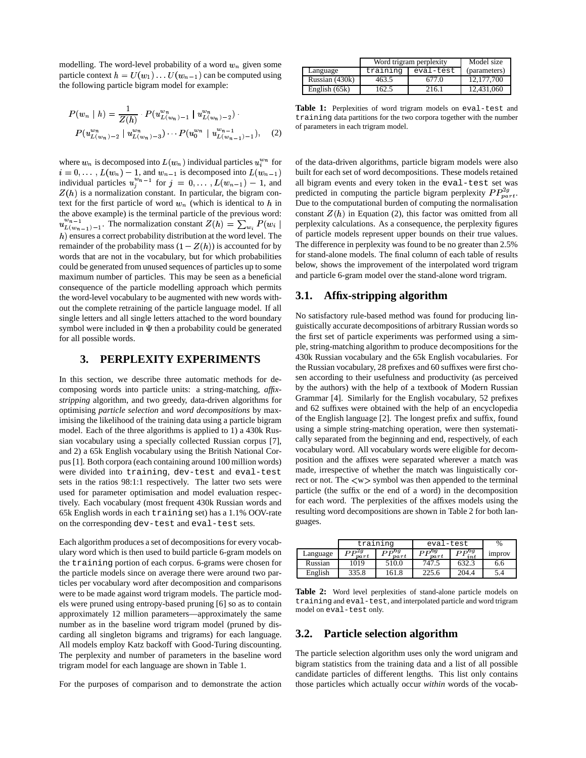modelling. The word-level probability of a word  $w_n$  given some particle context  $h = U(w_1) \dots U(w_{n-1})$  can be computed using the following particle bigram model for example:

$$
P(w_n | h) = \frac{1}{Z(h)} \cdot P(u_{L(w_n)-1}^{w_n} | u_{L(w_n)-2}^{w_n}) \cdot P(u_{L(w_n)-2}^{w_n} | u_{L(w_n)-2}^{w_n} | u_{L(w_{n-1})-1}^{w_n})
$$
\n(2)

where  $w_n$  is decomposed into  $L(w_n)$  individual particles  $u_i^{w_n}$  for of  $i = 0, \ldots, L(w_n) - 1$ , and  $w_{n-1}$  is decomposed into  $L(w_{n-1})$  buil individual particles  $u_i^{w_n-1}$  for  $j = 0, \ldots, L(w_{n-1}) - 1$ , and all  $Z(h)$  is a normalization constant. In particular, the bigram context for the first particle of word  $w_n$  (which is identical to  $h$  in the above example) is the terminal particle of the previous word:  $u^{w_{n-1}}_{L(w_{n-1})-1}$ . The normalization constant  $Z(h) = \sum_{w_i} P(w_i \mid \text{perplex})$  $h$ ) ensures a correct probability distribution at the word level. The remainder of the probability mass  $(1 - Z(h))$  is accounted for by words that are not in the vocabulary, but for which probabilities could be generated from unused sequences of particles up to some maximum number of particles. This may be seen as a beneficial consequence of the particle modelling approach which permits the word-level vocabulary to be augmented with new words without the complete retraining of the particle language model. If all single letters and all single letters attached to the word boundary symbol were included in  $\Psi$  then a probability could be generated for all possible words.

### **3. PERPLEXITY EXPERIMENTS**

In this section, we describe three automatic methods for decomposing words into particle units: a string-matching, *affixstripping* algorithm, and two greedy, data-driven algorithms for optimising *particle selection* and *word decompositions* by maximising the likelihood of the training data using a particle bigram model. Each of the three algorithms is applied to 1) a 430k Russian vocabulary using a specially collected Russian corpus [7], and 2) a 65k English vocabulary using the British National Corpus[1]. Both corpora (each containing around 100 million words) were divided into training, dev-test and eval-test sets in the ratios 98:1:1 respectively. The latter two sets were used for parameter optimisation and model evaluation respectively. Each vocabulary (most frequent 430k Russian words and 65k English words in each training set) has a 1.1% OOV-rate on the corresponding dev-test and eval-test sets.

Each algorithm produces a set of decompositions for every vocabulary word which is then used to build particle 6-gram models on the training portion of each corpus. 6-grams were chosen for the particle models since on average there were around two particles per vocabulary word after decomposition and comparisons were to be made against word trigram models. The particle models were pruned using entropy-based pruning [6] so as to contain approximately 12 million parameters—approximately the same number as in the baseline word trigram model (pruned by discarding all singleton bigrams and trigrams) for each language. All models employ Katz backoff with Good-Turing discounting. The perplexity and number of parameters in the baseline word trigram model for each language are shown in Table 1.

For the purposes of comparison and to demonstrate the action

|                 | Word trigram perplexity | Model size |              |
|-----------------|-------------------------|------------|--------------|
| Language        | training                | eval-test  | (parameters) |
| Russian (430k)  | 463.5                   | 677.0      | 12,177,700   |
| English $(65k)$ | 162.5                   | 216.1      | 12.431.060   |

**Table 1:** Perplexities of word trigram models on eval-test and training data partitions for the two corpora together with the number of parameters in each trigram model.

of the data-driven algorithms, particle bigram models were also built for each set of word decompositions. These models retained all bigram events and every token in the eval-test set was predicted in computing the particle bigram perplexity  $PP_{nart}^{2g}$ . Due to the computational burden of computing the normalisation constant  $Z(h)$  in Equation (2), this factor was omitted from all perplexity calculations. As a consequence, the perplexity figures of particle models represent upper bounds on their true values. The difference in perplexity was found to be no greater than 2.5% for stand-alone models. The final column of each table of results below, shows the improvement of the interpolated word trigram and particle 6-gram model over the stand-alone word trigram.

#### **3.1. Affix-stripping algorithm**

No satisfactory rule-based method was found for producing linguistically accurate decompositions of arbitrary Russian words so the first set of particle experiments was performed using a simple, string-matching algorithm to produce decompositions for the 430k Russian vocabulary and the 65k English vocabularies. For the Russian vocabulary, 28 prefixes and 60 suffixes were first chosen according to their usefulness and productivity (as perceived by the authors) with the help of a textbook of Modern Russian Grammar [4]. Similarly for the English vocabulary, 52 prefixes and 62 suffixes were obtained with the help of an encyclopedia of the English language [2]. The longest prefix and suffix, found using a simple string-matching operation, were then systematically separated from the beginning and end, respectively, of each vocabulary word. All vocabulary words were eligible for decomposition and the affixes were separated wherever a match was made, irrespective of whether the match was linguistically correct or not. The  $\langle w \rangle$  symbol was then appended to the terminal particle (the suffix or the end of a word) in the decomposition for each word. The perplexities of the affixes models using the resulting word decompositions are shown in Table 2 for both languages.

|          | training                |                        | eval-test                          |                       | $\%$          |
|----------|-------------------------|------------------------|------------------------------------|-----------------------|---------------|
| Language | $D D^{2g}$<br>$_{part}$ | $DP^{0g}$<br>$_{part}$ | $\mathbf{D}^{\mathbf{0}}g$<br>part | $PP^{0g}$<br>$_{int}$ | <i>improv</i> |
| Russian  | 1019                    | 510.0                  | 747.5                              | 632.3                 | 6.6           |
| English  | 335.8                   | 161.8                  | 225.6                              | 204.4                 | 5.4           |

**Table 2:** Word level perplexities of stand-alone particle models on training and eval-test, and interpolated particle and word trigram model on eval-test only.

#### **3.2. Particle selection algorithm**

The particle selection algorithm uses only the word unigram and bigram statistics from the training data and a list of all possible candidate particles of different lengths. This list only contains those particles which actually occur *within* words of the vocab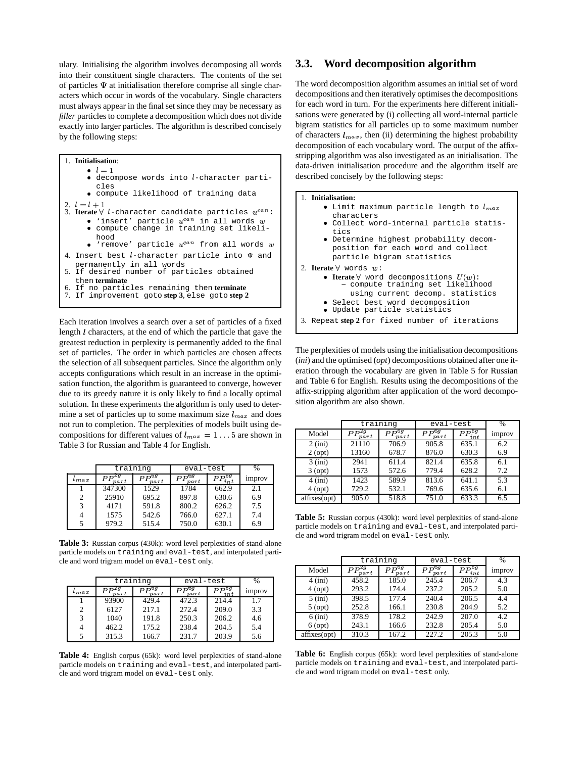ulary. Initialising the algorithm involves decomposing all words into their constituent single characters. The contents of the set of particles  $\Psi$  at initialisation therefore comprise all single characters which occur in words of the vocabulary. Single characters must always appear in the final set since they may be necessary as *filler* particles to complete a decomposition which does not divide exactly into larger particles. The algorithm is described concisely by the following steps:

```
1. Initialisation: l=1· decompose words into l-character parti-
       cles q
compute likelihood of training data
2. l = l + 13. Iterate \forall l-character candidate particles u^{can}:\bullet 'insert' particle u^{can} in all words w | |
     q
compute change in training set likeli-
       hood \bullet 'remove' particle u^{can} from all words w | |4. Insert best l-character particle into \Psi and
  permanently in all words
5. If desired number of particles obtained
  then terminate
6. If no particles remaining then terminate
    7. If improvement goto step 3, else goto step 2
```
Each iteration involves a search over a set of particles of a fixed length  $l$  characters, at the end of which the particle that gave the greatest reduction in perplexity is permanently added to the final set of particles. The order in which particles are chosen affects the selection of all subsequent particles. Since the algorithm only accepts configurations which result in an increase in the optimisation function, the algorithm is guaranteed to converge, however due to its greedy nature it is only likely to find a locally optimal solution. In these experiments the algorithm is only used to determine a set of particles up to some maximum size  $l_{max}$  and does not run to completion. The perplexities of models built using decompositions for different values of  $l_{max} = 1...5$  are shown in Table 3 for Russian and Table 4 for English.

|           | training          |                   | eval-test         | %                      |        |
|-----------|-------------------|-------------------|-------------------|------------------------|--------|
| $_{tmax}$ | $PP^{2g}$<br>part | $PP^{6g}$<br>part | $PP^{6g}$<br>part | $PP^{\bar{6g}}$<br>int | improv |
|           | 347300            | 1529              | 1784              | 662.9                  | 2.1    |
| 2         | 25910             | 695.2             | 897.8             | 630.6                  | 6.9    |
|           | 4171              | 591.8             | 800.2             | 626.2                  | 7.5    |
|           | 1575              | 542.6             | 766.0             | 627.1                  | 7.4    |
|           | 979.2             | 515.4             | 750.0             | 630.1                  | 6.9    |

**Table 3:** Russian corpus (430k): word level perplexities of stand-alone particle models on training and eval-test, and interpolated particle and word trigram model on eval-test only.

|               | training               |                                             | eval-test              | $\frac{0}{0}$    |               |
|---------------|------------------------|---------------------------------------------|------------------------|------------------|---------------|
| $\iota_{max}$ | ,2g<br>РP<br>$_{part}$ | $\bm{D} \bm{P}^{\bm{0}\bm{g}}$<br>$_{part}$ | $PP^{6g}$<br>$_{part}$ | $PP^{6g}$<br>int | <i>improv</i> |
|               | 93900                  | 429.4                                       | 472.3                  | 214.4            | 1.7           |
| 2             | 6127                   | 217.1                                       | 272.4                  | 209.0            | 3.3           |
| 3             | 1040                   | 191.8                                       | 250.3                  | 206.2            | 4.6           |
|               | 462.2                  | 175.2                                       | 238.4                  | 204.5            | 5.4           |
|               | 315.3                  | 166.7                                       | 231.7                  | 203.9            | 5.6           |

**Table 4:** English corpus (65k): word level perplexities of stand-alone particle models on training and eval-test, and interpolated particle and word trigram model on eval-test only.

#### **3.3. Word decomposition algorithm**

The word decomposition algorithm assumes an initial set of word decompositions and then iteratively optimises the decompositions for each word in turn. For the experiments here different initialisations were generated by (i) collecting all word-internal particle bigram statistics for all particles up to some maximum number of characters  $l_{max}$ , then (ii) determining the highest probability decomposition of each vocabulary word. The output of the affixstripping algorithm was also investigated as an initialisation. The data-driven initialisation procedure and the algorithm itself are described concisely by the following steps:



- $\bullet$  Limit maximum particle length to  $l_{max}$   $\qquad$   $\mid$ characters <sup>q</sup> Collect word-internal particle statistics <sup>q</sup> Determine highest probability decomposition for each word and collect particle bigram statistics 2. **Iterate**  $\forall$  words  $w$ :  $\bullet$  **Iterate**  $\forall$  word decompositions  $U(w)$ :
	- **–** compute training set likelihood using current decomp. statistics
		-
	- **Select best word decomposition** • Update particle statistics

3. Repeat **step 2** for fixed number of iterations

The perplexities of models using the initialisation decompositions (*ini*) and the optimised (*opt*) decompositions obtained after one iteration through the vocabulary are given in Table 5 for Russian and Table 6 for English. Results using the decompositions of the affix-stripping algorithm after application of the word decomposition algorithm are also shown.

|              | training               |                        | eval-test         |                 | $\frac{0}{0}$ |
|--------------|------------------------|------------------------|-------------------|-----------------|---------------|
| Model        | $PP^{2g}$<br>$_{part}$ | $PP^{6g}$<br>$_{part}$ | $PP^{6g}$<br>part | $PP_{int}^{bg}$ | improv        |
| $2$ (ini)    | 21110                  | 706.9                  | 905.8             | 635.1           | 6.2           |
| $2$ (opt)    | 13160                  | 678.7                  | 876.0             | 630.3           | 6.9           |
| $3$ (ini)    | 2941                   | 611.4                  | 821.4             | 635.8           | 6.1           |
| $3$ (opt)    | 1573                   | 572.6                  | 779.4             | 628.2           | 7.2           |
| $4$ (ini)    | 1423                   | 589.9                  | 813.6             | 641.1           | 5.3           |
| $4$ (opt)    | 729.2                  | 532.1                  | 769.6             | 635.6           | 6.1           |
| affixes(opt) | 905.0                  | 518.8                  | 751.0             | 633.3           | 6.5           |

**Table 5:** Russian corpus (430k): word level perplexities of stand-alone particle models on training and eval-test, and interpolated particle and word trigram model on eval-test only.

|              | training               |                       | eval-test                    | $\%$            |        |
|--------------|------------------------|-----------------------|------------------------------|-----------------|--------|
| Model        | $PP^{2g}$<br>$_{part}$ | σq<br>РP<br>$_{part}$ | $PP^{\overline{0g}}$<br>part | $PP_{int}^{bg}$ | improv |
| $4$ (ini)    | 458.2                  | 185.0                 | 245.4                        | 206.7           | 4.3    |
| $4$ (opt)    | 293.2                  | 174.4                 | 237.2                        | 205.2           | 5.0    |
| $5$ (ini)    | 398.5                  | 177.4                 | 240.4                        | 206.5           | 4.4    |
| $5$ (opt)    | 252.8                  | 166.1                 | 230.8                        | 204.9           | 5.2    |
| $6$ (ini)    | 378.9                  | 178.2                 | 242.9                        | 207.0           | 4.2    |
| $6$ (opt)    | 243.1                  | 166.6                 | 232.8                        | 205.4           | 5.0    |
| affixes(opt) | 310.3                  | 167.2                 | 227.2                        | 205.3           | 5.0    |

**Table 6:** English corpus (65k): word level perplexities of stand-alone particle models on training and eval-test, and interpolated particle and word trigram model on eval-test only.